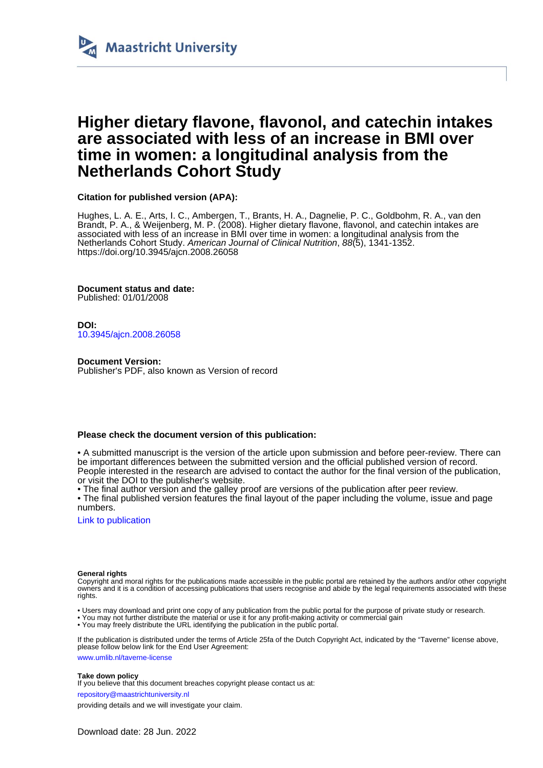

### **Higher dietary flavone, flavonol, and catechin intakes are associated with less of an increase in BMI over time in women: a longitudinal analysis from the Netherlands Cohort Study**

**Citation for published version (APA):**

Hughes, L. A. E., Arts, I. C., Ambergen, T., Brants, H. A., Dagnelie, P. C., Goldbohm, R. A., van den Brandt, P. A., & Weijenberg, M. P. (2008). Higher dietary flavone, flavonol, and catechin intakes are associated with less of an increase in BMI over time in women: a longitudinal analysis from the Netherlands Cohort Study. American Journal of Clinical Nutrition, 88(5), 1341-1352. <https://doi.org/10.3945/ajcn.2008.26058>

**Document status and date:** Published: 01/01/2008

**DOI:** [10.3945/ajcn.2008.26058](https://doi.org/10.3945/ajcn.2008.26058)

**Document Version:** Publisher's PDF, also known as Version of record

#### **Please check the document version of this publication:**

• A submitted manuscript is the version of the article upon submission and before peer-review. There can be important differences between the submitted version and the official published version of record. People interested in the research are advised to contact the author for the final version of the publication, or visit the DOI to the publisher's website.

• The final author version and the galley proof are versions of the publication after peer review.

• The final published version features the final layout of the paper including the volume, issue and page numbers.

[Link to publication](https://cris.maastrichtuniversity.nl/en/publications/3910ecf4-21aa-4369-9af3-759de2ef6f9f)

#### **General rights**

Copyright and moral rights for the publications made accessible in the public portal are retained by the authors and/or other copyright owners and it is a condition of accessing publications that users recognise and abide by the legal requirements associated with these rights.

• Users may download and print one copy of any publication from the public portal for the purpose of private study or research.

• You may not further distribute the material or use it for any profit-making activity or commercial gain

• You may freely distribute the URL identifying the publication in the public portal.

If the publication is distributed under the terms of Article 25fa of the Dutch Copyright Act, indicated by the "Taverne" license above, please follow below link for the End User Agreement:

www.umlib.nl/taverne-license

#### **Take down policy**

If you believe that this document breaches copyright please contact us at:

repository@maastrichtuniversity.nl

providing details and we will investigate your claim.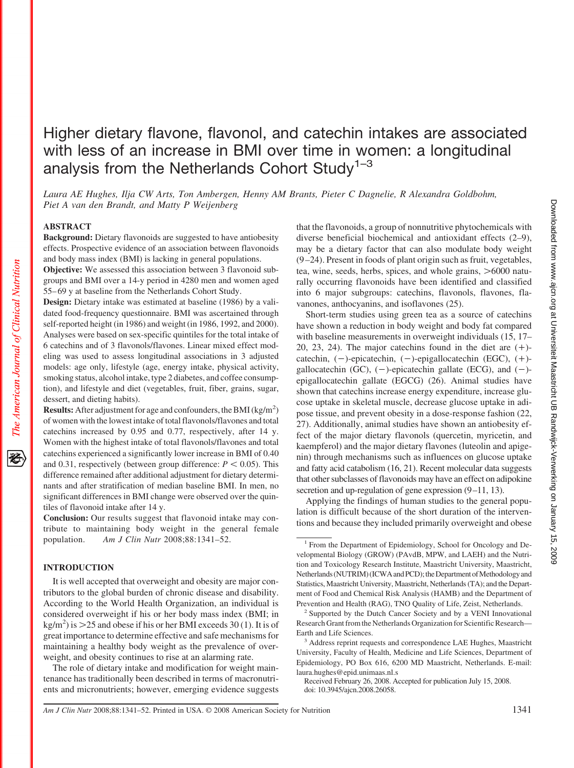The American Journal of Clinical Nutrition

移

## Higher dietary flavone, flavonol, and catechin intakes are associated with less of an increase in BMI over time in women: a longitudinal analysis from the Netherlands Cohort Study $1-3$

*Laura AE Hughes, Ilja CW Arts, Ton Ambergen, Henny AM Brants, Pieter C Dagnelie, R Alexandra Goldbohm, Piet A van den Brandt, and Matty P Weijenberg*

#### **ABSTRACT**

**Background:** Dietary flavonoids are suggested to have antiobesity effects. Prospective evidence of an association between flavonoids and body mass index (BMI) is lacking in general populations.

**Objective:** We assessed this association between 3 flavonoid subgroups and BMI over a 14-y period in 4280 men and women aged 55– 69 y at baseline from the Netherlands Cohort Study.

**Design:** Dietary intake was estimated at baseline (1986) by a validated food-frequency questionnaire. BMI was ascertained through self-reported height (in 1986) and weight (in 1986, 1992, and 2000). Analyses were based on sex-specific quintiles for the total intake of 6 catechins and of 3 flavonols/flavones. Linear mixed effect modeling was used to assess longitudinal associations in 3 adjusted models: age only, lifestyle (age, energy intake, physical activity, smoking status, alcohol intake, type 2 diabetes, and coffee consumption), and lifestyle and diet (vegetables, fruit, fiber, grains, sugar, dessert, and dieting habits).

**Results:** After adjustment for age and confounders, the BMI  $(kg/m^2)$ of women with the lowest intake of total flavonols/flavones and total catechins increased by 0.95 and 0.77, respectively, after 14 y. Women with the highest intake of total flavonols/flavones and total catechins experienced a significantly lower increase in BMI of 0.40 and 0.31, respectively (between group difference:  $P < 0.05$ ). This difference remained after additional adjustment for dietary determinants and after stratification of median baseline BMI. In men, no significant differences in BMI change were observed over the quintiles of flavonoid intake after 14 y.

**Conclusion:** Our results suggest that flavonoid intake may contribute to maintaining body weight in the general female population. *Am J Clin Nutr* 2008;88:1341–52.

#### **INTRODUCTION**

It is well accepted that overweight and obesity are major contributors to the global burden of chronic disease and disability. According to the World Health Organization, an individual is considered overweight if his or her body mass index (BMI; in  $\text{kg/m}^2$ ) is  $>$ 25 and obese if his or her BMI exceeds 30 (1). It is of great importance to determine effective and safe mechanisms for maintaining a healthy body weight as the prevalence of overweight, and obesity continues to rise at an alarming rate.

The role of dietary intake and modification for weight maintenance has traditionally been described in terms of macronutrients and micronutrients; however, emerging evidence suggests that the flavonoids, a group of nonnutritive phytochemicals with diverse beneficial biochemical and antioxidant effects (2–9), may be a dietary factor that can also modulate body weight (9 –24). Present in foods of plant origin such as fruit, vegetables, tea, wine, seeds, herbs, spices, and whole grains, >6000 naturally occurring flavonoids have been identified and classified into 6 major subgroups: catechins, flavonols, flavones, flavanones, anthocyanins, and isoflavones (25).

Short-term studies using green tea as a source of catechins have shown a reduction in body weight and body fat compared with baseline measurements in overweight individuals (15, 17– 20, 23, 24). The major cates chines found in the diet are  $(+)$ catechin,  $(-)$ -epicatechin,  $(-)$ -epigallocatechin (EGC),  $(+)$ gallocatechin (GC),  $(-)$ -epicatechin gallate (ECG), and  $(-)$ epigallocatechin gallate (EGCG) (26). Animal studies have shown that catechins increase energy expenditure, increase glucose uptake in skeletal muscle, decrease glucose uptake in adipose tissue, and prevent obesity in a dose-response fashion (22, 27). Additionally, animal studies have shown an antiobesity effect of the major dietary flavonols (quercetin, myricetin, and kaempferol) and the major dietary flavones (luteolin and apigenin) through mechanisms such as influences on glucose uptake and fatty acid catabolism (16, 21). Recent molecular data suggests that other subclasses of flavonoids may have an effect on adipokine secretion and up-regulation of gene expression  $(9-11, 13)$ .

Applying the findings of human studies to the general population is difficult because of the short duration of the interventions and because they included primarily overweight and obese

<sup>&</sup>lt;sup>1</sup> From the Department of Epidemiology, School for Oncology and Developmental Biology (GROW) (PAvdB, MPW, and LAEH) and the Nutrition and Toxicology Research Institute, Maastricht University, Maastricht, Netherlands (NUTRIM) (ICWA and PCD); the Department of Methodology and Statistics, Maastricht University, Maastricht, Netherlands (TA); and the Department of Food and Chemical Risk Analysis (HAMB) and the Department of Prevention and Health (RAG), TNO Quality of Life, Zeist, Netherlands.

<sup>2</sup> Supported by the Dutch Cancer Society and by a VENI Innovational Research Grant from the Netherlands Organization for Scientific Research— Earth and Life Sciences.

<sup>&</sup>lt;sup>3</sup> Address reprint requests and correspondence LAE Hughes, Maastricht University, Faculty of Health, Medicine and Life Sciences, Department of Epidemiology, PO Box 616, 6200 MD Maastricht, Netherlands. E-mail: laura.hughes@epid.unimaas.nl.s

Received February 26, 2008. Accepted for publication July 15, 2008. doi: 10.3945/ajcn.2008.26058.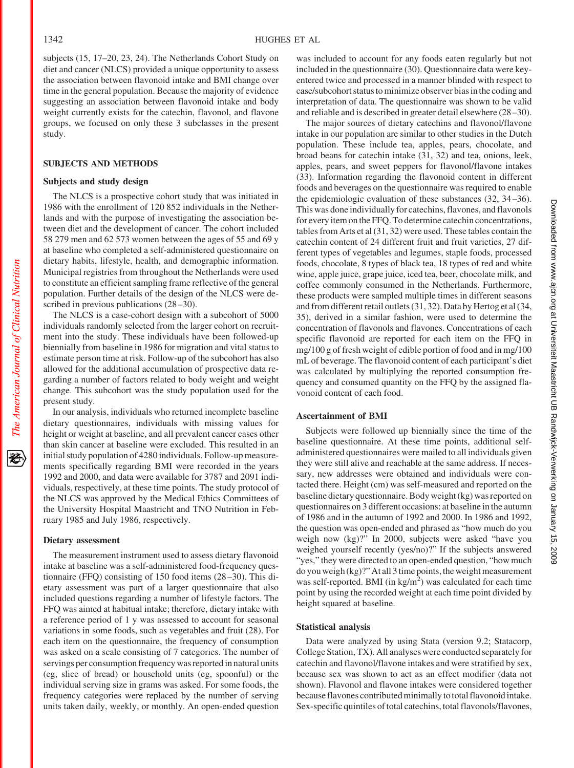subjects (15, 17–20, 23, 24). The Netherlands Cohort Study on diet and cancer (NLCS) provided a unique opportunity to assess the association between flavonoid intake and BMI change over time in the general population. Because the majority of evidence suggesting an association between flavonoid intake and body weight currently exists for the catechin, flavonol, and flavone groups, we focused on only these 3 subclasses in the present study.

#### **SUBJECTS AND METHODS**

#### **Subjects and study design**

The NLCS is a prospective cohort study that was initiated in 1986 with the enrollment of 120 852 individuals in the Netherlands and with the purpose of investigating the association between diet and the development of cancer. The cohort included 58 279 men and 62 573 women between the ages of 55 and 69 y at baseline who completed a self-administered questionnaire on dietary habits, lifestyle, health, and demographic information. Municipal registries from throughout the Netherlands were used to constitute an efficient sampling frame reflective of the general population. Further details of the design of the NLCS were described in previous publications  $(28-30)$ .

The NLCS is a case-cohort design with a subcohort of 5000 individuals randomly selected from the larger cohort on recruitment into the study. These individuals have been followed-up biennially from baseline in 1986 for migration and vital status to estimate person time at risk. Follow-up of the subcohort has also allowed for the additional accumulation of prospective data regarding a number of factors related to body weight and weight change. This subcohort was the study population used for the present study.

In our analysis, individuals who returned incomplete baseline dietary questionnaires, individuals with missing values for height or weight at baseline, and all prevalent cancer cases other than skin cancer at baseline were excluded. This resulted in an initial study population of 4280 individuals. Follow-up measurements specifically regarding BMI were recorded in the years 1992 and 2000, and data were available for 3787 and 2091 individuals, respectively, at these time points. The study protocol of the NLCS was approved by the Medical Ethics Committees of the University Hospital Maastricht and TNO Nutrition in February 1985 and July 1986, respectively.

#### **Dietary assessment**

The measurement instrument used to assess dietary flavonoid intake at baseline was a self-administered food-frequency questionnaire (FFQ) consisting of 150 food items (28 –30). This dietary assessment was part of a larger questionnaire that also included questions regarding a number of lifestyle factors. The FFQ was aimed at habitual intake; therefore, dietary intake with a reference period of 1 y was assessed to account for seasonal variations in some foods, such as vegetables and fruit (28). For each item on the questionnaire, the frequency of consumption was asked on a scale consisting of 7 categories. The number of servings per consumption frequency was reportedin natural units (eg, slice of bread) or household units (eg, spoonful) or the individual serving size in grams was asked. For some foods, the frequency categories were replaced by the number of serving units taken daily, weekly, or monthly. An open-ended question was included to account for any foods eaten regularly but not included in the questionnaire (30). Questionnaire data were keyentered twice and processed in a manner blinded with respect to case/subcohort status to minimize observer bias in the coding and interpretation of data. The questionnaire was shown to be valid and reliable and is described in greater detail elsewhere (28 –30).

The major sources of dietary catechins and flavonol/flavone intake in our population are similar to other studies in the Dutch population. These include tea, apples, pears, chocolate, and broad beans for catechin intake (31, 32) and tea, onions, leek, apples, pears, and sweet peppers for flavonol/flavone intakes (33). Information regarding the flavonoid content in different foods and beverages on the questionnaire was required to enable the epidemiologic evaluation of these substances (32, 34 –36). This was done individually for catechins, flavones, and flavonols for every item on the FFQ. To determine catechin concentrations, tables from Arts et al (31, 32) were used. These tables contain the catechin content of 24 different fruit and fruit varieties, 27 different types of vegetables and legumes, staple foods, processed foods, chocolate, 8 types of black tea, 18 types of red and white wine, apple juice, grape juice, iced tea, beer, chocolate milk, and coffee commonly consumed in the Netherlands. Furthermore, these products were sampled multiple times in different seasons and from different retail outlets (31, 32). Data by Hertog et al (34, 35), derived in a similar fashion, were used to determine the concentration of flavonols and flavones. Concentrations of each specific flavonoid are reported for each item on the FFQ in mg/100 g of fresh weight of edible portion of food and in mg/100 mL of beverage. The flavonoid content of each participant's diet was calculated by multiplying the reported consumption frequency and consumed quantity on the FFQ by the assigned flavonoid content of each food.

#### **Ascertainment of BMI**

Subjects were followed up biennially since the time of the baseline questionnaire. At these time points, additional selfadministered questionnaires were mailed to all individuals given they were still alive and reachable at the same address. If necessary, new addresses were obtained and individuals were contacted there. Height (cm) was self-measured and reported on the baseline dietary questionnaire. Body weight (kg) was reported on questionnaires on 3 different occasions: at baseline in the autumn of 1986 and in the autumn of 1992 and 2000. In 1986 and 1992, the question was open-ended and phrased as "how much do you weigh now (kg)?" In 2000, subjects were asked "have you weighed yourself recently (yes/no)?" If the subjects answered "yes," they were directed to an open-ended question, "how much do you weigh (kg)?" At all 3 time points, the weight measurement was self-reported. BMI (in kg/m<sup>2</sup>) was calculated for each time point by using the recorded weight at each time point divided by height squared at baseline.

#### **Statistical analysis**

Data were analyzed by using Stata (version 9.2; Statacorp, College Station, TX). All analyses were conducted separately for catechin and flavonol/flavone intakes and were stratified by sex, because sex was shown to act as an effect modifier (data not shown). Flavonol and flavone intakes were considered together because flavones contributed minimally to total flavonoid intake. Sex-specific quintiles of total catechins, total flavonols/flavones,

The American Journal of Clinical Nutrition

移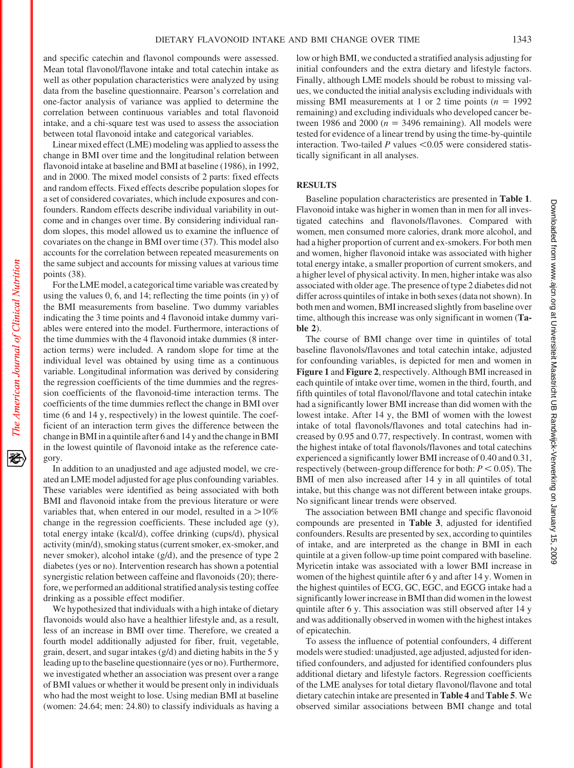and specific catechin and flavonol compounds were assessed. Mean total flavonol/flavone intake and total catechin intake as well as other population characteristics were analyzed by using data from the baseline questionnaire. Pearson's correlation and one-factor analysis of variance was applied to determine the correlation between continuous variables and total flavonoid intake, and a chi-square test was used to assess the association between total flavonoid intake and categorical variables.

Linear mixed effect (LME) modeling was applied to assess the change in BMI over time and the longitudinal relation between flavonoid intake at baseline and BMI at baseline (1986), in 1992, and in 2000. The mixed model consists of 2 parts: fixed effects and random effects. Fixed effects describe population slopes for a set of considered covariates, which include exposures and confounders. Random effects describe individual variability in outcome and in changes over time. By considering individual random slopes, this model allowed us to examine the influence of covariates on the change in BMI over time (37). This model also accounts for the correlation between repeated measurements on the same subject and accounts for missing values at various time points (38).

For the LME model, a categorical time variable was created by using the values 0, 6, and 14; reflecting the time points (in y) of the BMI measurements from baseline. Two dummy variables indicating the 3 time points and 4 flavonoid intake dummy variables were entered into the model. Furthermore, interactions of the time dummies with the 4 flavonoid intake dummies (8 interaction terms) were included. A random slope for time at the individual level was obtained by using time as a continuous variable. Longitudinal information was derived by considering the regression coefficients of the time dummies and the regression coefficients of the flavonoid-time interaction terms. The coefficients of the time dummies reflect the change in BMI over time (6 and 14 y, respectively) in the lowest quintile. The coefficient of an interaction term gives the difference between the change in BMI in a quintile after 6 and 14 y and the change in BMI in the lowest quintile of flavonoid intake as the reference category.

In addition to an unadjusted and age adjusted model, we created an LME model adjusted for age plus confounding variables. These variables were identified as being associated with both BMI and flavonoid intake from the previous literature or were variables that, when entered in our model, resulted in a  $>10\%$ change in the regression coefficients. These included age (y), total energy intake (kcal/d), coffee drinking (cups/d), physical activity (min/d), smoking status (current smoker, ex-smoker, and never smoker), alcohol intake (g/d), and the presence of type 2 diabetes (yes or no). Intervention research has shown a potential synergistic relation between caffeine and flavonoids (20); therefore, we performed an additional stratified analysis testing coffee drinking as a possible effect modifier.

We hypothesized that individuals with a high intake of dietary flavonoids would also have a healthier lifestyle and, as a result, less of an increase in BMI over time. Therefore, we created a fourth model additionally adjusted for fiber, fruit, vegetable, grain, desert, and sugar intakes (g/d) and dieting habits in the 5 y leading up to the baseline questionnaire (yes or no). Furthermore, we investigated whether an association was present over a range of BMI values or whether it would be present only in individuals who had the most weight to lose. Using median BMI at baseline (women: 24.64; men: 24.80) to classify individuals as having a low or high BMI, we conducted a stratified analysis adjusting for initial confounders and the extra dietary and lifestyle factors. Finally, although LME models should be robust to missing values, we conducted the initial analysis excluding individuals with missing BMI measurements at 1 or 2 time points  $(n = 1992)$ remaining) and excluding individuals who developed cancer between 1986 and 2000 ( $n = 3496$  remaining). All models were tested for evidence of a linear trend by using the time-by-quintile interaction. Two-tailed  $P$  values  $\leq 0.05$  were considered statistically significant in all analyses.

#### **RESULTS**

Baseline population characteristics are presented in **Table 1**. Flavonoid intake was higher in women than in men for all investigated catechins and flavonols/flavones. Compared with women, men consumed more calories, drank more alcohol, and had a higher proportion of current and ex-smokers. For both men and women, higher flavonoid intake was associated with higher total energy intake, a smaller proportion of current smokers, and a higher level of physical activity. In men, higher intake was also associated with older age. The presence of type 2 diabetes did not differ across quintiles of intake in both sexes (data not shown). In both men and women, BMI increased slightly from baseline over time, although this increase was only significant in women (**Table 2**).

The course of BMI change over time in quintiles of total baseline flavonols/flavones and total catechin intake, adjusted for confounding variables, is depicted for men and women in **Figure 1** and **Figure 2**, respectively. Although BMI increased in each quintile of intake over time, women in the third, fourth, and fifth quintiles of total flavonol/flavone and total catechin intake had a significantly lower BMI increase than did women with the lowest intake. After 14 y, the BMI of women with the lowest intake of total flavonols/flavones and total catechins had increased by 0.95 and 0.77, respectively. In contrast, women with the highest intake of total flavonols/flavones and total catechins experienced a significantly lower BMI increase of 0.40 and 0.31, respectively (between-group difference for both:  $P < 0.05$ ). The BMI of men also increased after 14 y in all quintiles of total intake, but this change was not different between intake groups. No significant linear trends were observed.

The association between BMI change and specific flavonoid compounds are presented in **Table 3**, adjusted for identified confounders. Results are presented by sex, according to quintiles of intake, and are interpreted as the change in BMI in each quintile at a given follow-up time point compared with baseline. Myricetin intake was associated with a lower BMI increase in women of the highest quintile after 6 y and after 14 y. Women in the highest quintiles of ECG, GC, EGC, and EGCG intake had a significantly lower increase in BMI than did women in the lowest quintile after 6 y. This association was still observed after 14 y and was additionally observed in women with the highest intakes of epicatechin.

To assess the influence of potential confounders, 4 different models were studied: unadjusted, age adjusted, adjusted for identified confounders, and adjusted for identified confounders plus additional dietary and lifestyle factors. Regression coefficients of the LME analyses for total dietary flavonol/flavone and total dietary catechin intake are presented in **Table 4** and **Table 5**. We observed similar associations between BMI change and total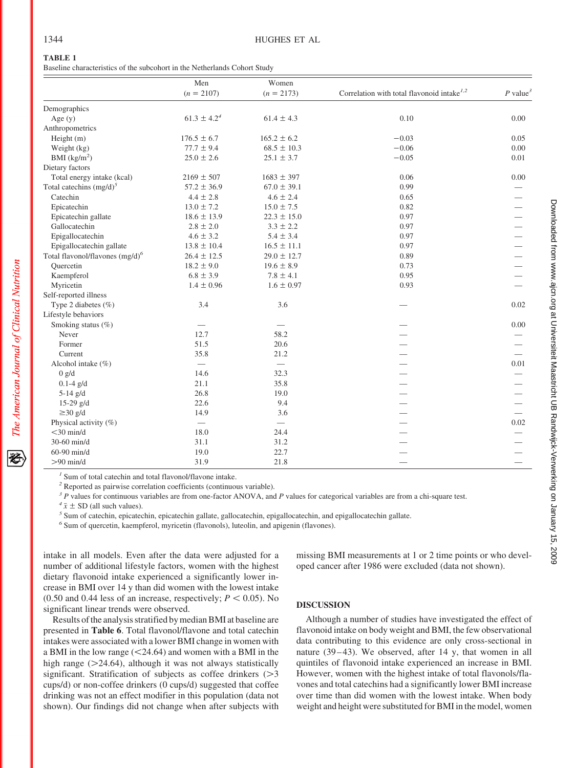Baseline characteristics of the subcohort in the Netherlands Cohort Study

|                                    | Men                      | Women                    |                                                        |                      |
|------------------------------------|--------------------------|--------------------------|--------------------------------------------------------|----------------------|
|                                    | $(n = 2107)$             | $(n = 2173)$             | Correlation with total flavonoid intake <sup>1,2</sup> | P value <sup>3</sup> |
| Demographics                       |                          |                          |                                                        |                      |
| Age $(y)$                          | $61.3 \pm 4.2^4$         | $61.4 \pm 4.3$           | 0.10                                                   | 0.00                 |
| Anthropometrics                    |                          |                          |                                                        |                      |
| Height (m)                         | $176.5 \pm 6.7$          | $165.2 \pm 6.2$          | $-0.03$                                                | 0.05                 |
| Weight (kg)                        | $77.7 \pm 9.4$           | $68.5 \pm 10.3$          | $-0.06$                                                | 0.00                 |
| BMI $(kg/m2)$                      | $25.0 \pm 2.6$           | $25.1 \pm 3.7$           | $-0.05$                                                | 0.01                 |
| Dietary factors                    |                          |                          |                                                        |                      |
| Total energy intake (kcal)         | $2169 \pm 507$           | $1683 \pm 397$           | 0.06                                                   | 0.00                 |
| Total catechins $(mg/d)^5$         | $57.2 \pm 36.9$          | $67.0 \pm 39.1$          | 0.99                                                   |                      |
| Catechin                           | $4.4 \pm 2.8$            | $4.6 \pm 2.4$            | 0.65                                                   |                      |
| Epicatechin                        | $13.0 \pm 7.2$           | $15.0 \pm 7.5$           | 0.82                                                   |                      |
| Epicatechin gallate                | $18.6 \pm 13.9$          | $22.3 \pm 15.0$          | 0.97                                                   |                      |
| Gallocatechin                      | $2.8 \pm 2.0$            | $3.3 \pm 2.2$            | 0.97                                                   |                      |
| Epigallocatechin                   | $4.6 \pm 3.2$            | $5.4 \pm 3.4$            | 0.97                                                   |                      |
| Epigallocatechin gallate           | $13.8 \pm 10.4$          | $16.5 \pm 11.1$          | 0.97                                                   |                      |
| Total flavonol/flavones $(mg/d)^6$ | $26.4 \pm 12.5$          | $29.0 \pm 12.7$          | 0.89                                                   |                      |
| Quercetin                          | $18.2 \pm 9.0$           | $19.6 \pm 8.9$           | 0.73                                                   |                      |
| Kaempferol                         | $6.8 \pm 3.9$            | $7.8 \pm 4.1$            | 0.95                                                   |                      |
| Myricetin                          | $1.4 \pm 0.96$           | $1.6 \pm 0.97$           | 0.93                                                   |                      |
| Self-reported illness              |                          |                          |                                                        |                      |
| Type 2 diabetes (%)                | 3.4                      | 3.6                      |                                                        | 0.02                 |
| Lifestyle behaviors                |                          |                          |                                                        |                      |
| Smoking status (%)                 |                          |                          |                                                        | 0.00                 |
| Never                              | 12.7                     | 58.2                     |                                                        |                      |
| Former                             | 51.5                     | 20.6                     |                                                        |                      |
| Current                            | 35.8                     | 21.2                     |                                                        |                      |
| Alcohol intake $(\% )$             | $\overline{\phantom{0}}$ | $\overline{\phantom{0}}$ |                                                        | 0.01                 |
| 0 g/d                              | 14.6                     | 32.3                     |                                                        |                      |
| $0.1 - 4$ g/d                      | 21.1                     | 35.8                     |                                                        |                      |
| $5-14$ g/d                         | 26.8                     | 19.0                     |                                                        |                      |
| $15-29$ g/d                        | 22.6                     | 9.4                      |                                                        |                      |
| $\geq$ 30 g/d                      | 14.9                     | 3.6                      |                                                        |                      |
| Physical activity (%)              |                          |                          |                                                        | 0.02                 |
| $<$ 30 min/d                       | 18.0                     | 24.4                     |                                                        |                      |
| 30-60 min/d                        | 31.1                     | 31.2                     |                                                        |                      |
| $60-90$ min/d                      | 19.0                     | 22.7                     |                                                        |                      |
| $>90$ min/d                        | 31.9                     | 21.8                     |                                                        |                      |

*<sup>1</sup>* Sum of total catechin and total flavonol/flavone intake.

*<sup>2</sup>* Reported as pairwise correlation coefficients (continuous variable).

<sup>3</sup> *P* values for continuous variables are from one-factor ANOVA, and *P* values for categorical variables are from a chi-square test.<br><sup>4</sup>  $\bar{x}$  ± SD (all such values).

 $<sup>5</sup>$  Sum of catechin, epicatechin, epicatechin gallate, gallocatechin, epigallocatechin, and epigallocatechin gallate.</sup>

*<sup>6</sup>* Sum of quercetin, kaempferol, myricetin (flavonols), luteolin, and apigenin (flavones).

intake in all models. Even after the data were adjusted for a number of additional lifestyle factors, women with the highest dietary flavonoid intake experienced a significantly lower increase in BMI over 14 y than did women with the lowest intake  $(0.50$  and 0.44 less of an increase, respectively;  $P < 0.05$ ). No significant linear trends were observed.

Results of the analysis stratified by median BMI at baseline are presented in **Table 6**. Total flavonol/flavone and total catechin intakes were associated with a lower BMI change in women with a BMI in the low range  $(<24.64)$  and women with a BMI in the high range (>24.64), although it was not always statistically significant. Stratification of subjects as coffee drinkers  $(>= 3$ cups/d) or non-coffee drinkers (0 cups/d) suggested that coffee drinking was not an effect modifier in this population (data not shown). Our findings did not change when after subjects with

missing BMI measurements at 1 or 2 time points or who developed cancer after 1986 were excluded (data not shown).

#### **DISCUSSION**

Although a number of studies have investigated the effect of flavonoid intake on body weight and BMI, the few observational data contributing to this evidence are only cross-sectional in nature  $(39-43)$ . We observed, after 14 y, that women in all quintiles of flavonoid intake experienced an increase in BMI. However, women with the highest intake of total flavonols/flavones and total catechins had a significantly lower BMI increase over time than did women with the lowest intake. When body weight and height were substituted for BMI in the model, women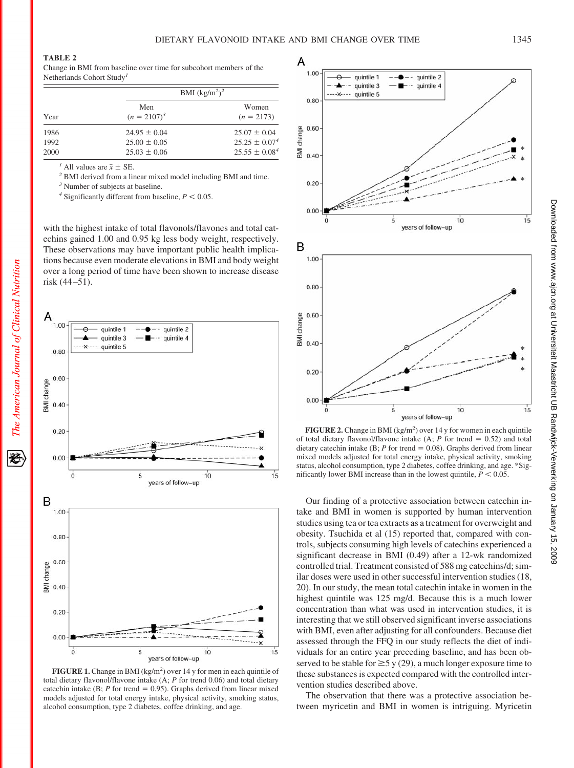#### **TABLE 2**

The American Journal of Clinical Nutrition

经

Change in BMI from baseline over time for subcohort members of the Netherlands Cohort Study*<sup>1</sup>*

|      |                       | BMI $(kg/m2)2$        |
|------|-----------------------|-----------------------|
| Year | Men<br>$(n = 2107)^3$ | Women<br>$(n = 2173)$ |
| 1986 | $24.95 \pm 0.04$      | $25.07 \pm 0.04$      |
| 1992 | $25.00 \pm 0.05$      | $25.25 \pm 0.07^4$    |
| 2000 | $25.03 \pm 0.06$      | $25.55 \pm 0.08^4$    |

<sup>*1*</sup> All values are  $\bar{x} \pm$  SE.<br><sup>2</sup> BMI derived from a linear mixed model including BMI and time.

*<sup>3</sup>* Number of subjects at baseline.

<sup>4</sup> Significantly different from baseline,  $P < 0.05$ .

with the highest intake of total flavonols/flavones and total catechins gained 1.00 and 0.95 kg less body weight, respectively. These observations may have important public health implications because even moderate elevations in BMI and body weight over a long period of time have been shown to increase disease risk (44 –51).



FIGURE 1. Change in BMI (kg/m<sup>2</sup>) over 14 y for men in each quintile of total dietary flavonol/flavone intake (A; *P* for trend 0.06) and total dietary catechin intake  $(B; P \text{ for trend} = 0.95)$ . Graphs derived from linear mixed models adjusted for total energy intake, physical activity, smoking status, alcohol consumption, type 2 diabetes, coffee drinking, and age.



**FIGURE 2.** Change in BMI (kg/m<sup>2</sup>) over 14 y for women in each quintile of total dietary flavonol/flavone intake  $(A; P)$  for trend  $= 0.52$ ) and total dietary catechin intake (B;  $P$  for trend  $= 0.08$ ). Graphs derived from linear mixed models adjusted for total energy intake, physical activity, smoking status, alcohol consumption, type 2 diabetes, coffee drinking, and age. \*Significantly lower BMI increase than in the lowest quintile,  $P < 0.05$ .

Our finding of a protective association between catechin intake and BMI in women is supported by human intervention studies using tea or tea extracts as a treatment for overweight and obesity. Tsuchida et al (15) reported that, compared with controls, subjects consuming high levels of catechins experienced a significant decrease in BMI (0.49) after a 12-wk randomized controlled trial. Treatment consisted of 588 mg catechins/d; similar doses were used in other successful intervention studies (18, 20). In our study, the mean total catechin intake in women in the highest quintile was 125 mg/d. Because this is a much lower concentration than what was used in intervention studies, it is interesting that we still observed significant inverse associations with BMI, even after adjusting for all confounders. Because diet assessed through the FFQ in our study reflects the diet of individuals for an entire year preceding baseline, and has been observed to be stable for  $\geq$  5 y (29), a much longer exposure time to these substances is expected compared with the controlled intervention studies described above.

The observation that there was a protective association between myricetin and BMI in women is intriguing. Myricetin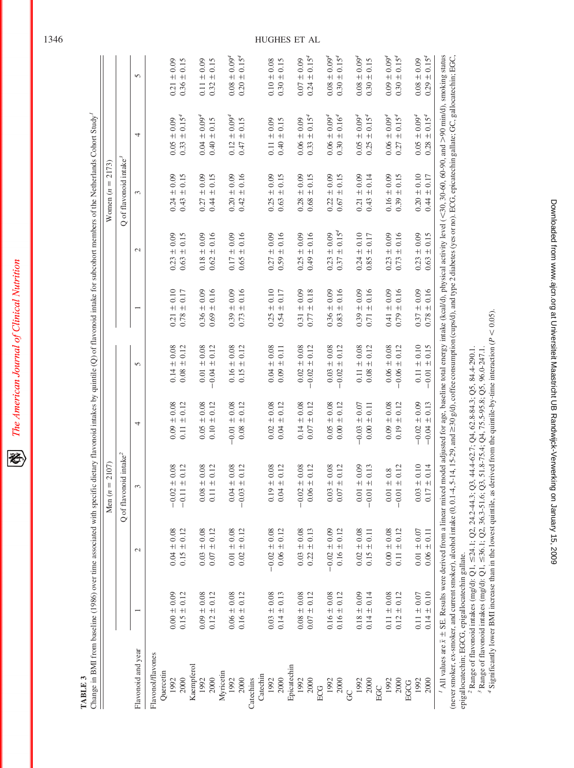| Î          |
|------------|
| řň         |
|            |
| i<br>Seres |
|            |
| Ì          |
|            |
|            |

 $\rightarrow$ 

TABLE 3 **TABLE 3**

| ļ                                                                                                                                   |  |
|-------------------------------------------------------------------------------------------------------------------------------------|--|
|                                                                                                                                     |  |
|                                                                                                                                     |  |
|                                                                                                                                     |  |
|                                                                                                                                     |  |
|                                                                                                                                     |  |
|                                                                                                                                     |  |
|                                                                                                                                     |  |
|                                                                                                                                     |  |
|                                                                                                                                     |  |
|                                                                                                                                     |  |
|                                                                                                                                     |  |
|                                                                                                                                     |  |
|                                                                                                                                     |  |
|                                                                                                                                     |  |
|                                                                                                                                     |  |
|                                                                                                                                     |  |
|                                                                                                                                     |  |
|                                                                                                                                     |  |
|                                                                                                                                     |  |
|                                                                                                                                     |  |
|                                                                                                                                     |  |
|                                                                                                                                     |  |
|                                                                                                                                     |  |
|                                                                                                                                     |  |
|                                                                                                                                     |  |
|                                                                                                                                     |  |
|                                                                                                                                     |  |
|                                                                                                                                     |  |
| $\overline{\phantom{a}}$                                                                                                            |  |
|                                                                                                                                     |  |
|                                                                                                                                     |  |
|                                                                                                                                     |  |
|                                                                                                                                     |  |
|                                                                                                                                     |  |
|                                                                                                                                     |  |
|                                                                                                                                     |  |
|                                                                                                                                     |  |
|                                                                                                                                     |  |
|                                                                                                                                     |  |
|                                                                                                                                     |  |
| i                                                                                                                                   |  |
|                                                                                                                                     |  |
|                                                                                                                                     |  |
|                                                                                                                                     |  |
|                                                                                                                                     |  |
|                                                                                                                                     |  |
|                                                                                                                                     |  |
|                                                                                                                                     |  |
|                                                                                                                                     |  |
|                                                                                                                                     |  |
|                                                                                                                                     |  |
|                                                                                                                                     |  |
|                                                                                                                                     |  |
|                                                                                                                                     |  |
|                                                                                                                                     |  |
| ciate                                                                                                                               |  |
|                                                                                                                                     |  |
|                                                                                                                                     |  |
|                                                                                                                                     |  |
|                                                                                                                                     |  |
|                                                                                                                                     |  |
|                                                                                                                                     |  |
| l                                                                                                                                   |  |
|                                                                                                                                     |  |
|                                                                                                                                     |  |
|                                                                                                                                     |  |
|                                                                                                                                     |  |
| i<br>j                                                                                                                              |  |
|                                                                                                                                     |  |
|                                                                                                                                     |  |
| $\begin{array}{c} \begin{array}{c} \begin{array}{c} \begin{array}{c} \end{array}\\ \end{array} \end{array} \end{array} \end{array}$ |  |
|                                                                                                                                     |  |
|                                                                                                                                     |  |
| <b>CONTRACTOR</b>                                                                                                                   |  |
|                                                                                                                                     |  |
|                                                                                                                                     |  |
|                                                                                                                                     |  |

|                    |                 |                  | $= 2107$<br>Men $(n)$                                                                                                                                                                                                      |                    |                       |                    |                                    | Women $(n = 2173)$                                            |                              |                              |
|--------------------|-----------------|------------------|----------------------------------------------------------------------------------------------------------------------------------------------------------------------------------------------------------------------------|--------------------|-----------------------|--------------------|------------------------------------|---------------------------------------------------------------|------------------------------|------------------------------|
|                    |                 |                  | Q of flavonoid intake <sup>2</sup>                                                                                                                                                                                         |                    |                       |                    |                                    | Q of flavonoid intake <sup>3</sup>                            |                              |                              |
| Flavonoid and year |                 | $\mathcal{C}$    | $\sim$                                                                                                                                                                                                                     | 4                  | 5                     |                    | $\mathcal{L}$                      | 3                                                             | 4                            | 5                            |
| Flavonol/flavones  |                 |                  |                                                                                                                                                                                                                            |                    |                       |                    |                                    |                                                               |                              |                              |
| Quercetin          |                 |                  |                                                                                                                                                                                                                            |                    |                       |                    |                                    |                                                               |                              |                              |
| 1992               | $0.00 \pm 0.09$ | $0.04 \pm 0.08$  | $\pm~0.08$<br>$-0.02$                                                                                                                                                                                                      | $0.09 \pm 0.08$    | $0.14 \pm 0.08$       | $0.21 \pm 0.10$    | $0.23 \pm 0.09$                    | $0.24 \pm 0.09$                                               | $0.05 \pm 0.09$              | $0.21 \pm 0.09$              |
| 2000               | $0.15 \pm 0.12$ | $0.15 \pm 0.12$  | ± 0.12<br>$-0.11$                                                                                                                                                                                                          | $0.11 \pm 0.12$    | $0.08 \pm 0.12$       | $0.78 \pm 0.17$    | $0.63 \pm 0.15$                    | $0.43 \pm 0.15$                                               | $0.33 \pm 0.15^4$            | $0.36 \pm 0.15$              |
| Kaempferol         |                 |                  |                                                                                                                                                                                                                            |                    |                       |                    |                                    |                                                               |                              |                              |
| 1992               | $0.09 \pm 0.08$ | $0.03 \pm 0.08$  | $\pm~0.08$<br>$0.08\,$                                                                                                                                                                                                     | $0.05 \pm 0.08$    | $0.01 \pm 0.08$       | $0.36 \pm 0.09$    | $0.18 \pm 0.09$                    | $0.27 \pm 0.09$                                               | $0.04 \pm 0.094$             | $0.11 \pm 0.09$              |
| 2000               | $0.12 \pm 0.12$ | $0.07 \pm 0.12$  | 0.12<br>$+$<br>0.11                                                                                                                                                                                                        | $0.10 \pm 0.12$    | $-0.04 \pm 0.12$      | $0.69 \pm 0.16$    | ± 0.16<br>0.62                     | 0.15<br>$+$<br>0.44                                           | $\pm$ 0.15<br>0.40           | $\pm$ 0.15<br>0.32           |
| Myricetin          |                 |                  |                                                                                                                                                                                                                            |                    |                       |                    |                                    |                                                               |                              |                              |
| 1992               | $0.06 \pm 0.08$ | $0.01 \pm 0.08$  | $\pm$ 0.08<br>0.04                                                                                                                                                                                                         | $-0.01 \pm 0.08$   | $0.16 \pm 0.08$       | $0.39 \pm 0.09$    | $0.17 \pm 0.09$                    | $0.20 \pm 0.09$                                               | $0.12 \pm 0.09^4$            | $0.08 \pm 0.09$ <sup>4</sup> |
| 2000               | $0.16 \pm 0.12$ | $0.02 \pm 0.12$  | ± 0.12<br>$-0.03$                                                                                                                                                                                                          | $0.08 \pm 0.12$    | $0.15 \pm 0.12$       | $0.73 \pm 0.16$    | $0.65 \pm 0.16$                    | $0.42 \pm 0.16$                                               | $0.47 \pm 0.15$              | $\pm 0.15^{4}$<br>0.20       |
| Catechins          |                 |                  |                                                                                                                                                                                                                            |                    |                       |                    |                                    |                                                               |                              |                              |
| Catechin           |                 |                  |                                                                                                                                                                                                                            |                    |                       |                    |                                    |                                                               |                              |                              |
| 1992               | $0.03 \pm 0.08$ | $-0.02 \pm 0.08$ | $\pm~0.08$<br>0.19                                                                                                                                                                                                         | $0.02 \pm 0.08$    | $0.04 \pm 0.08$       | $0.25 \pm 0.10$    | $0.27 \pm 0.09$                    | $0.25 \pm 0.09$                                               | $0.11 \pm 0.09$              | $0.10 \pm 0.08$              |
| 2000               | $0.14 \pm 0.13$ | $0.06 \pm 0.12$  | ± 0.12<br>0.04                                                                                                                                                                                                             | $0.04 \pm 0.12$    | $0.09 \pm 0.11$       | $0.54 \pm 0.17$    | $0.59 \pm 0.16$                    | $0.63 \pm 0.15$                                               | $0.40 \pm 0.15$              | $0.30 \pm 0.15$              |
| Epicatechin        |                 |                  |                                                                                                                                                                                                                            |                    |                       |                    |                                    |                                                               |                              |                              |
| 1992               | $0.08 \pm 0.08$ | $0.03 \pm 0.08$  | $\pm~0.08$<br>$-0.02$                                                                                                                                                                                                      | $0.14 \pm 0.08$    | $\pm~0.08$<br>0.02    | $0.31 \pm 0.09$    | $0.25 \pm 0.09$                    | $0.28 \pm 0.09$                                               | $0.06 \pm 0.09$              | $0.07 \pm 0.09$              |
| 2000               | $0.07 \pm 0.12$ | $0.22 \pm 0.13$  | 0.12<br>$+$<br>0.06                                                                                                                                                                                                        | $0.07 \pm 0.12$    | $\pm$ 0.12<br>$-0.02$ | $0.77 \pm 0.18$    | $0.49 \pm 0.16$                    | $0.68 \pm 0.15$                                               | $0.33 \pm 0.15^4$            | $\pm 0.15^{4}$<br>0.24       |
| ECG                |                 |                  |                                                                                                                                                                                                                            |                    |                       |                    |                                    |                                                               |                              |                              |
| 1992               | $0.16 \pm 0.08$ | $-0.02 \pm 0.09$ | $\pm~0.08$<br>0.03                                                                                                                                                                                                         | $0.05 \pm 0.08$    | $0.03 \pm 0.08$       | $0.36 \pm 0.09$    | $0.23 \pm 0.09$                    | $0.22 \pm 0.09$                                               | $0.06 \pm 0.09^4$            | $0.08 \pm 0.094$             |
| 2000               | $0.16 \pm 0.12$ | $0.16 \pm 0.12$  | 0.12<br>$+1$<br>$0.07\,$                                                                                                                                                                                                   | $0.00 \pm 0.12$    | $-0.02 \pm 0.12$      | $0.83 \pm 0.16$    | $\pm 0.15^{4}$<br>0.37             | 0.15<br>$+1$<br>0.67                                          | $0.30 \pm 0.16^{4}$          | $\pm 0.15^{4}$<br>0.30       |
| GC                 |                 |                  |                                                                                                                                                                                                                            |                    |                       |                    |                                    |                                                               |                              |                              |
| 1992               | $0.18 \pm 0.09$ | $0.02 \pm 0.08$  | $\pm$ 0.09<br>0.01                                                                                                                                                                                                         | $-0.03 \pm 0.07$   | $0.11 \pm 0.08$       | $0.39 \pm 0.09$    | $0.24 \pm 0.10$                    | $0.21 \pm 0.09$                                               | $0.05 \pm 0.09$ <sup>4</sup> | $0.08 \pm 0.094$             |
| 2000               | $0.14 \pm 0.14$ | $0.15 \pm 0.11$  | 0.13<br>$\pm$<br>$-0.01$                                                                                                                                                                                                   | $\pm$ 0.11<br>0.00 | $\pm$ 0.12<br>0.08    | $\pm$ 0.16<br>0.71 | $\pm$ 0.17<br>0.85                 | 0.14<br>$+1$<br>0.43                                          | ± 0.15 <sup>4</sup><br>0.25  | 0.15<br>$+1$<br>0.30         |
| EGC                |                 |                  |                                                                                                                                                                                                                            |                    |                       |                    |                                    |                                                               |                              |                              |
| 1992               | $0.11 \pm 0.08$ | $0.00 \pm 0.08$  | $\pm~0.8$<br>0.01                                                                                                                                                                                                          | $0.09 \pm 0.08$    | $0.06 \pm 0.08$       | $0.41 \pm 0.09$    | $0.23 \pm 0.09$                    | $0.16 \pm 0.09$                                               | $0.06 \pm 0.09^4$            | $0.09 \pm 0.09$ <sup>4</sup> |
| 2000               | $0.12 \pm 0.12$ | $0.11 \pm 0.12$  | $\pm$ 0.12<br>$-0.01$                                                                                                                                                                                                      | $0.19 \pm 0.12$    | $-0.06 \pm 0.12$      | $0.79 \pm 0.16$    | $0.73 \pm 0.16$                    | $0.39 \pm 0.15$                                               | $0.27 \pm 0.15^4$            | $\pm 0.15^{4}$<br>0.30       |
| EGCG               |                 |                  |                                                                                                                                                                                                                            |                    |                       |                    |                                    |                                                               |                              |                              |
| 1992               | $0.11 \pm 0.07$ | $0.01\pm0.07$    | $\pm$ 0.10<br>0.03                                                                                                                                                                                                         | $-0.02 \pm 0.09$   | $0.11 \pm 0.10$       | $0.37 \pm 0.09$    |                                    |                                                               | $0.05 \pm 0.09^{4}$          | $0.08 \pm 0.09$              |
| 2000               | $0.14 \pm 0.10$ | $0.06 \pm 0.11$  | ± 0.14<br>0.17                                                                                                                                                                                                             | $-0.04 \pm 0.13$   | $-0.01 \pm 0.15$      | $0.78 \pm 0.16$    | $0.23 \pm 0.09$<br>$0.63 \pm 0.15$ | $\begin{array}{c} 0.20 \pm 0.10 \\ 0.44 \pm 0.17 \end{array}$ | $0.28 \pm 0.15^4$            | $0.29 \pm 0.15^4$            |
|                    |                 |                  | $\ell$ All values are $\bar{x}$ ± SE. Results were derived from a linear mixed model adjusted for age, baseline total energy intake (kcal/d), physical activity level (<30, 30-60, and >90, and >90 min/d), smoking status |                    |                       |                    |                                    |                                                               |                              |                              |

(never smoker, ex-smoker, and current smoker), alcohol intake  $(0, 0.1-4, 5-14, 15-29,$  and  $\geq 30$  g/d), coffee consumption (cups/d), and type 2 diabetes (yes or no). ECG, epicatechin gallate; GC, gallocatechin; EGC, (never smoker, ex-smoker, and current smoker), alcohol intake (0, 0.1-4, 5-14, 15-29, and 30 g/d), coffee consumption (cups/d), and type 2 diabetes (yes or no). ECG, epicatechin gallate; GC, gallocatechin; EGC, epigallocatechin; EGCG, epigallocatechin gallate. epigallocatechin; EGCG, epigallocatechin gallate.

Range of flavonoid intakes (mg/d): Q1, 24.1; Q2, 24.2-44.3; Q3, 44.4-62.7; Q4, 62.8-84.3; Q5, 84.4-290.1.

Range of flavonoid intakes (mg/d): Q1, 36.1; Q2, 36.3-51.6; Q3, 51.8-75.4; Q4, 75.5-95.8; Q5, 96.0-247.1.

*234*

Significantly lower BMI increase than in the lowest quintile, as derived from the quintile-by-time interaction (*P* < 0.05).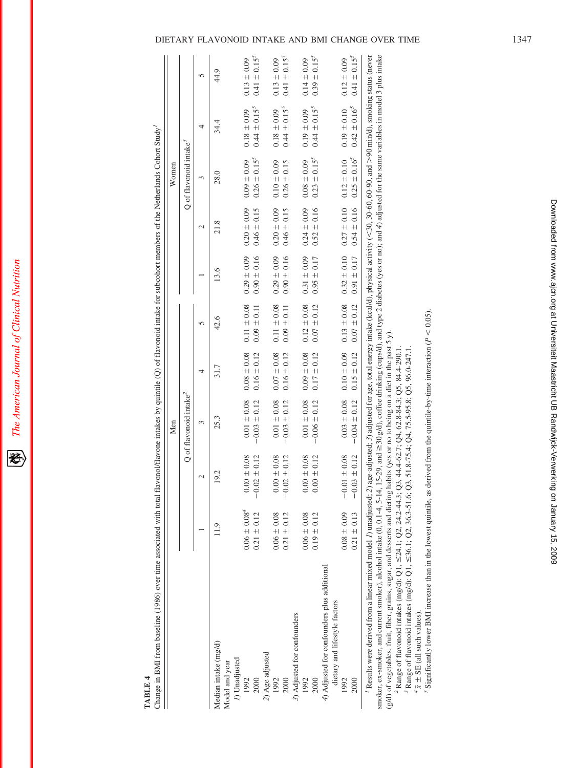# The American Journal of Clinical Nutrition 经

## TABLE 4 **TABLE 4**

Change in BMI from baseline (1986) over time associated with total flavonol/flavone intakes by quintile (Q) of flavonoid intake for subcohort members of the Netherlands Cohort Study' Change in BMI from baseline (1986) over time associated with total flavonol/flavone intakes by quintile (Q) of flavonoid intake for subcohort members of the Netherlands Cohort Study*1*

|                                                                                                                                                                                                                                                                                          |                     |                  | Men                                                                                                                                                     |                 |                 |                 |                 | Women                              |                       |                     |
|------------------------------------------------------------------------------------------------------------------------------------------------------------------------------------------------------------------------------------------------------------------------------------------|---------------------|------------------|---------------------------------------------------------------------------------------------------------------------------------------------------------|-----------------|-----------------|-----------------|-----------------|------------------------------------|-----------------------|---------------------|
|                                                                                                                                                                                                                                                                                          |                     |                  | Q of flavonoid intake <sup>2</sup>                                                                                                                      |                 |                 |                 |                 | Q of flavonoid intake <sup>3</sup> |                       |                     |
|                                                                                                                                                                                                                                                                                          |                     | $\mathcal{L}$    | 3                                                                                                                                                       | 4               | 5               |                 | $\mathcal{L}$   | 3                                  | 4                     | 5                   |
| Median intake (mg/d)                                                                                                                                                                                                                                                                     | 11.9                | 19.2             | 25.3                                                                                                                                                    | 31.7            | 42.6            | 13.6            | 21.8            | 28.0                               | 34.4                  | 44.9                |
| Model and year                                                                                                                                                                                                                                                                           |                     |                  |                                                                                                                                                         |                 |                 |                 |                 |                                    |                       |                     |
| 1) Unadjusted                                                                                                                                                                                                                                                                            |                     |                  |                                                                                                                                                         |                 |                 |                 |                 |                                    |                       |                     |
| 1992                                                                                                                                                                                                                                                                                     | $0.06 \pm 0.08^{4}$ | $0.00 \pm 0.08$  | $0.01 \pm 0.08$                                                                                                                                         | $0.08 \pm 0.08$ | $0.11 \pm 0.08$ | $0.29 \pm 0.09$ | $0.20 \pm 0.09$ | $0.09 \pm 0.09$                    | $0.18 \pm 0.09$       | $0.13 \pm 0.09$     |
| 2000                                                                                                                                                                                                                                                                                     | $0.21 \pm 0.12$     | $-0.02 \pm 0.12$ | $-0.03 \pm 0.12$                                                                                                                                        | $0.16 \pm 0.12$ | $0.09 \pm 0.11$ | $0.90 \pm 0.16$ | $0.46 \pm 0.15$ | $0.26 \pm 0.15^{5}$                | $0.44\pm0.15^{\rm 5}$ | $0.41 \pm 0.15^{5}$ |
| 2) Age adjusted                                                                                                                                                                                                                                                                          |                     |                  |                                                                                                                                                         |                 |                 |                 |                 |                                    |                       |                     |
| 1992                                                                                                                                                                                                                                                                                     | $0.06 \pm 0.08$     | $0.00 \pm 0.08$  | $0.01 \pm 0.08$                                                                                                                                         | $0.07\pm0.08$   | $0.11 \pm 0.08$ | $0.29 \pm 0.09$ | $0.20 \pm 0.09$ | $0.10 \pm 0.09$                    | $0.18 \pm 0.09$       | $0.13 \pm 0.09$     |
| 2000                                                                                                                                                                                                                                                                                     | $0.21 \pm 0.12$     | $-0.02 \pm 0.12$ | $-0.03 \pm 0.12$                                                                                                                                        | $0.16 \pm 0.12$ | $0.09 \pm 0.11$ | $0.90 \pm 0.16$ | $0.46 \pm 0.15$ | $0.26 \pm 0.15$                    | $0.44 \pm 0.15^{5}$   | $0.41 \pm 0.15^{5}$ |
| 3) Adjusted for confounders                                                                                                                                                                                                                                                              |                     |                  |                                                                                                                                                         |                 |                 |                 |                 |                                    |                       |                     |
| 1992                                                                                                                                                                                                                                                                                     | $0.06 \pm 0.08$     | $0.00 \pm 0.08$  | $0.01 \pm 0.08$                                                                                                                                         | $0.09 \pm 0.08$ | $0.12 \pm 0.08$ | $0.31 \pm 0.09$ | $0.24 \pm 0.09$ | $0.08 \pm 0.09$                    | $0.19 \pm 0.09$       | $0.14 \pm 0.09$     |
| 2000                                                                                                                                                                                                                                                                                     | $0.19 \pm 0.12$     | $0.00 \pm 0.12$  | $-0.06 \pm 0.12$                                                                                                                                        | $0.17 \pm 0.12$ | $0.07 \pm 0.12$ | $0.95 \pm 0.17$ | $0.52 \pm 0.16$ | $0.23 \pm 0.15^{5}$                | $0.44\pm0.15^{\rm 5}$ | $0.39 \pm 0.15^{5}$ |
| 4) Adjusted for confounders plus additional                                                                                                                                                                                                                                              |                     |                  |                                                                                                                                                         |                 |                 |                 |                 |                                    |                       |                     |
| dietary and lifestyle factors                                                                                                                                                                                                                                                            |                     |                  |                                                                                                                                                         |                 |                 |                 |                 |                                    |                       |                     |
| 1992                                                                                                                                                                                                                                                                                     | $0.08 \pm 0.09$     | $-0.01 \pm 0.08$ | $0.03\,\pm\,0.08$                                                                                                                                       | $0.10 \pm 0.09$ | $0.13 \pm 0.08$ | $0.32 \pm 0.10$ | $0.27 \pm 0.10$ | $0.12 \pm 0.10$                    | $0.19 \pm 0.10$       | $0.12 \pm 0.09$     |
| 2000                                                                                                                                                                                                                                                                                     | $0.21 \pm 0.13$     | $-0.03 \pm 0.12$ | $-0.04 \pm 0.12$                                                                                                                                        | $0.15 \pm 0.12$ | $0.07 \pm 0.12$ | $0.91 \pm 0.17$ | $0.54 \pm 0.16$ | $0.25 \pm 0.16^{5}$                | $0.42 \pm 0.16^{5}$   | $0.41 \pm 0.15^{5}$ |
| ' Results were derived from a linear mixed model 1) unadjusted; 2) age-adjusted; 3) adjusted for age, total energy intake (kcal/d), physical activity (<30, 30-60, 60-90, and >90, min/d), smoking status (never<br>smoker, ex-smoker, and current smoker), alcohol intake (0, 0.1-4, 5- |                     |                  | 14, 15-29, and $\geq$ 30 g(d), coffee drinking (cups(d), and type 2 diabetes (yes or no); and 4) adjusted for the same variables in model 3 plus intake |                 |                 |                 |                 |                                    |                       |                     |
| $(g/d)$ of vegetables, fruit, fiber, grains, sugar, and desserts and dieting habits (yes or no to being on a diet in the past 5 y).<br>$^{2}$ Range of flavonoid intakes (mg/d): Q1, $\leq$ 24.1; Q2, 24.2, 44.4, 62.7; Q4, 62.8, 84.3; Q5, 84.4.290.1                                   |                     |                  |                                                                                                                                                         |                 |                 |                 |                 |                                    |                       |                     |
| <sup>3</sup> Range of flavonoid intakes (mg/d); Q1, ≤36.1; Q2, 36.3-51.6; Q3, 51.8-75.4; Q4, 75.5-95.8; Q5, 96.0-247.1.                                                                                                                                                                  |                     |                  |                                                                                                                                                         |                 |                 |                 |                 |                                    |                       |                     |
| $45 + \mathcal{C} \mathbf{E}$ (all ench values)                                                                                                                                                                                                                                          |                     |                  |                                                                                                                                                         |                 |                 |                 |                 |                                    |                       |                     |

*45* $\overline{x} \pm SE$  (all such values).

<sup>2</sup> Significantly lower BMI increase than in the lowest quintile, as derived from the quintile-by-time interaction (*P* < 0.05).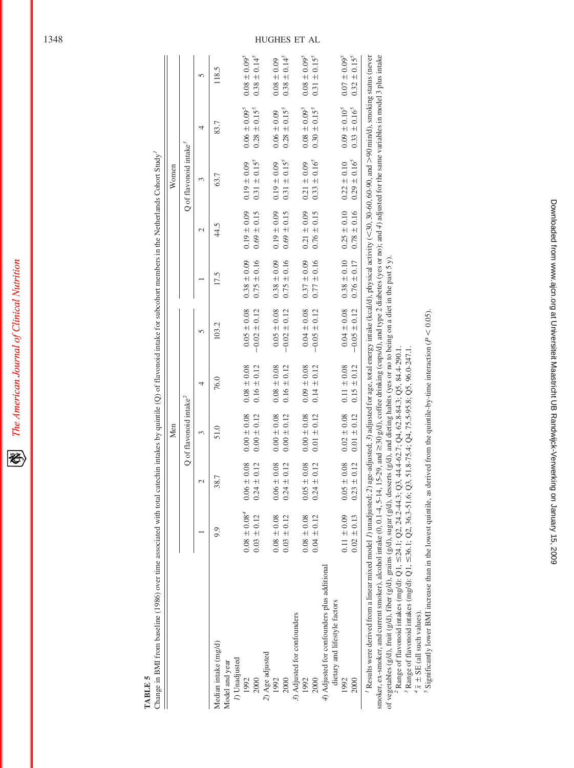| I |
|---|
|   |

TABLE 5 **TABLE 5**

| İ                                  |
|------------------------------------|
| š                                  |
|                                    |
|                                    |
|                                    |
|                                    |
| j                                  |
|                                    |
|                                    |
|                                    |
|                                    |
|                                    |
|                                    |
|                                    |
|                                    |
|                                    |
|                                    |
|                                    |
|                                    |
| ł                                  |
| ۱                                  |
|                                    |
|                                    |
| í                                  |
|                                    |
| l                                  |
|                                    |
| i                                  |
|                                    |
|                                    |
| ł                                  |
|                                    |
|                                    |
|                                    |
|                                    |
|                                    |
|                                    |
|                                    |
| i                                  |
| ţ<br>į                             |
|                                    |
|                                    |
|                                    |
|                                    |
|                                    |
| I                                  |
|                                    |
| ֕                                  |
|                                    |
| $\overline{\phantom{a}}$           |
| i                                  |
|                                    |
|                                    |
|                                    |
|                                    |
|                                    |
| j                                  |
|                                    |
| ļ                                  |
|                                    |
|                                    |
|                                    |
| I<br>$\overline{\phantom{a}}$<br>֕ |
| Ę                                  |
| I                                  |
|                                    |
|                                    |
|                                    |
| ١                                  |
|                                    |
| $\ddot{a}$                         |
|                                    |
| ł<br>ׇ֦֡                           |
| j                                  |
| i                                  |
|                                    |
| i<br>g<br>l                        |
|                                    |
|                                    |
| ŗ                                  |
|                                    |
|                                    |
|                                    |
| $\alpha$                           |
| ֠                                  |
| ė<br>١<br>I<br>١                   |
| í                                  |
|                                    |
| ֕<br>ţ                             |
| j                                  |
| ١<br>j<br>ł<br>ł<br>5              |
| ì                                  |
| ֠                                  |
| í                                  |
| ļ                                  |
|                                    |
|                                    |
| l<br>l                             |
| ļ<br>I                             |
| 1                                  |
|                                    |
| j<br>I<br>١                        |
| J                                  |
| í<br>j<br>Ï<br>i<br>j              |

|                                                                                                                                                                                                                                                                          |                     |                 | Men                                |                 |                                                                                                                                                         |                        |                 | Women                              |                     |                     |
|--------------------------------------------------------------------------------------------------------------------------------------------------------------------------------------------------------------------------------------------------------------------------|---------------------|-----------------|------------------------------------|-----------------|---------------------------------------------------------------------------------------------------------------------------------------------------------|------------------------|-----------------|------------------------------------|---------------------|---------------------|
|                                                                                                                                                                                                                                                                          |                     |                 | Q of flavonoid intake <sup>2</sup> |                 |                                                                                                                                                         |                        |                 | O of flavonoid intake <sup>3</sup> |                     |                     |
|                                                                                                                                                                                                                                                                          |                     | N               | 3                                  | 4               |                                                                                                                                                         |                        | $\mathcal{L}$   | 3                                  | 4                   | 5                   |
| Median intake (mg/d)                                                                                                                                                                                                                                                     | 9.9                 | 38.7            | $\frac{0}{51}$                     | 76.0            | 103.2                                                                                                                                                   | 17.5                   | 44.5            | 63.7                               | 83.7                | 118.5               |
| Model and year                                                                                                                                                                                                                                                           |                     |                 |                                    |                 |                                                                                                                                                         |                        |                 |                                    |                     |                     |
| 1) Unadjusted                                                                                                                                                                                                                                                            |                     |                 |                                    |                 |                                                                                                                                                         |                        |                 |                                    |                     |                     |
| 1992                                                                                                                                                                                                                                                                     | $0.08 \pm 0.08^{4}$ | $0.06 \pm 0.08$ | $0.00 \pm 0.08$                    | $0.08 \pm 0.08$ | $0.05 \pm 0.08$                                                                                                                                         | $0.38 \pm 0.09$        | $0.19 \pm 0.09$ | $0.19 \pm 0.09$                    | $0.06 \pm 0.09^{5}$ | $0.08 \pm 0.09^{5}$ |
| 2000                                                                                                                                                                                                                                                                     | $0.03 \pm 0.12$     | $.24 \pm 0.12$  | $0.00 \pm 0.12$                    | $0.16 \pm 0.12$ | $-0.02 \pm 0.12$                                                                                                                                        | ± 0.16<br>$0.75$ :     | $0.69 \pm 0.15$ | $0.31 \pm 0.15^{5}$                | $0.28 \pm 0.15^{5}$ | $0.38 \pm 0.14^{5}$ |
| 2) Age adjusted                                                                                                                                                                                                                                                          |                     |                 |                                    |                 |                                                                                                                                                         |                        |                 |                                    |                     |                     |
| 1992                                                                                                                                                                                                                                                                     | $0.08 \pm 0.08$     | $0.06 \pm 0.08$ | $0.00 \pm 0.08$                    | $0.08 \pm 0.08$ | $0.05 \pm 0.08$                                                                                                                                         | $0.38 \pm 0.09$        | $0.19 \pm 0.09$ | $0.19 \pm 0.09$                    | $0.06 \pm 0.09$     | $0.08 \pm 0.09$     |
| 2000                                                                                                                                                                                                                                                                     | $0.03 \pm 0.12$     | $0.24 \pm 0.12$ | $0.00 \pm 0.12$                    | $0.16 \pm 0.12$ | $-0.02 \pm 0.12$                                                                                                                                        | $\pm 0.16$<br>$0.75$ : | $0.69 \pm 0.15$ | $0.31 \pm 0.15^{5}$                | $0.28 \pm 0.15^{5}$ | $0.38 \pm 0.14^{5}$ |
| 3) Adjusted for confounders                                                                                                                                                                                                                                              |                     |                 |                                    |                 |                                                                                                                                                         |                        |                 |                                    |                     |                     |
| 1992                                                                                                                                                                                                                                                                     | $0.08 \pm 0.08$     | $0.05 \pm 0.08$ | $0.00 \pm 0.08$                    | $0.09 \pm 0.08$ | $0.04 \pm 0.08$                                                                                                                                         | $0.37 \pm 0.09$        | $0.21 \pm 0.09$ | $0.21 \pm 0.09$                    | $0.08 \pm 0.09^{5}$ | $0.08 \pm 0.09^{5}$ |
| 2000                                                                                                                                                                                                                                                                     | $0.04 \pm 0.12$     | $0.24 \pm 0.12$ | $0.01 \pm 0.12$                    | $0.14 \pm 0.12$ | $-0.05 \pm 0.12$                                                                                                                                        | $0.77 \pm 0.16$        | $0.76 \pm 0.15$ | $0.33 \pm 0.16^{5}$                | $0.30 \pm 0.15^{5}$ | $0.31 \pm 0.15^{5}$ |
| 4) Adjusted for confounders plus additional                                                                                                                                                                                                                              |                     |                 |                                    |                 |                                                                                                                                                         |                        |                 |                                    |                     |                     |
| dietary and lifestyle factors                                                                                                                                                                                                                                            |                     |                 |                                    |                 |                                                                                                                                                         |                        |                 |                                    |                     |                     |
| 1992                                                                                                                                                                                                                                                                     | $0.11 \pm 0.09$     | $0.05 \pm 0.08$ | $0.02 \pm 0.08$                    | $0.11 \pm 0.08$ | $0.04 \pm 0.08$                                                                                                                                         | $0.38 \pm 0.10$        | $0.25 \pm 0.10$ | $0.22 \pm 0.10$                    | $0.09 \pm 0.10^{5}$ | $0.07 \pm 0.09^{5}$ |
| 2000                                                                                                                                                                                                                                                                     | $0.02 \pm 0.13$     | $.23 \pm 0.12$  | $0.01 \pm 0.12$                    | $0.15 \pm 0.12$ | $-0.05 \pm 0.12$                                                                                                                                        | $0.76 \pm 0.17$        | $0.78 \pm 0.16$ | $0.29 \pm 0.16^{5}$                | $0.33 \pm 0.16^{5}$ | $0.32 \pm 0.15^{5}$ |
| Results were derived from a linear mixed model 1) unadjusted; 2) age-adjusted for age, total energy intake (kcal/d), physical activity (<30, 30-60, 60-90, and >90 min/d), smoking status (never<br>smoker, ex-smoker, and current smoker), alcohol intake (0, 0.1-4, 5- |                     |                 |                                    |                 | 14, 15-29, and $\geq$ 30 g/d), coffee drinking (cups/d), and type 2 diabetes (yes or no); and 4) adjusted for the same variables in model 3 plus intake |                        |                 |                                    |                     |                     |
| of vegetables (g/d), fruit (g/d), fiber (g/d), grains (g/d), angreque (g/d), and dieting habits (yes or no to being on a diet in the past 5 y)                                                                                                                           |                     |                 |                                    |                 |                                                                                                                                                         |                        |                 |                                    |                     |                     |

of vegetables (g/d), fruit (g/d), fiber (g/d), grains (g/d), sugar (g/d), desserts (g/d), and dieting habits (yes or no to being on a diet in the past 5 y).

Range of flavonoid intakes (mg/d): Q1, 24.1; Q2, 24.2-44.3; Q3, 44.4-62.7; Q4, 62.8-84.3; Q5, 84.4-290.1.

*2345*Range of flavonoid intakes (mg/d): Q1, 36.1; Q2, 36.3-51.6; Q3, 51.8-75.4; Q4, 75.5-95.8; Q5, 96.0-247.1.

 $\overline{x} \pm SE$  (all such values).

<sup>2</sup> Significantly lower BMI increase than in the lowest quintile, as derived from the quintile-by-time interaction (*P* < 0.05).

Downloaded from www.ajcn.org at Universiteit Maastricht UB Randwijck-Verwerking on January 15, 2009 at Universiteit Maastricht UB Randwijck-Verwerking on January 15, 2009 [www.ajcn.org](http://www.ajcn.org) Downloaded from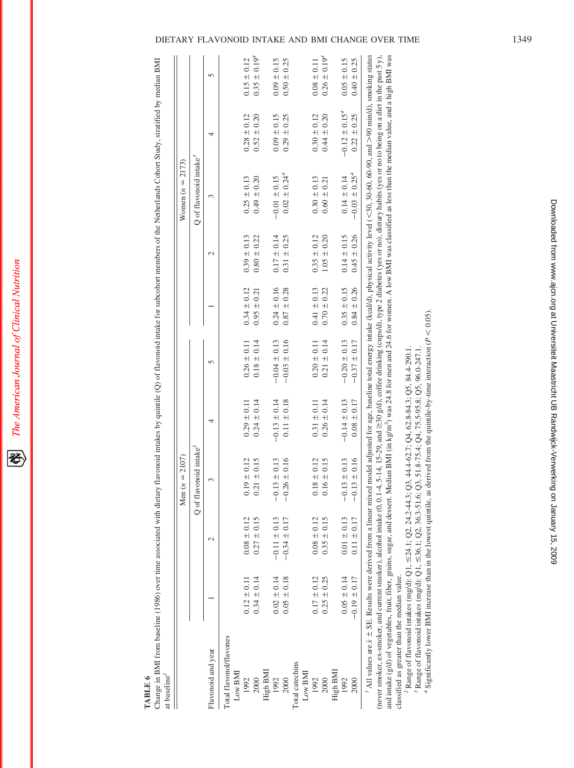The American Journal of Clinical Nutrition 经

# TABLE 6 **TABLE 6**

Change in BMI from baseline (1986) over time associated with dietary flavonoid intakes by quintile (Q) of flavonoid intake for subcohort members of the Netherlands Cohort Study, stratified by median BMI Change in BMI from baseline (1986) over time associated with dietary flavonoid intakes by quintile (Q) of flavonoid intake for subcohort members of the Netherlands Cohort Study, stratified by median BMI at baseline $\ell$ at baseline*1*

|                                                                                                                                                                                                                                |                  |                  | Men $(n = 2107)$                   |                  |                  |                 |                 | Women $(n = 2173)$                                                                                                                                 |                    |                     |
|--------------------------------------------------------------------------------------------------------------------------------------------------------------------------------------------------------------------------------|------------------|------------------|------------------------------------|------------------|------------------|-----------------|-----------------|----------------------------------------------------------------------------------------------------------------------------------------------------|--------------------|---------------------|
|                                                                                                                                                                                                                                |                  |                  | O of flavonoid intake <sup>2</sup> |                  |                  |                 |                 | Q of flavonoid intake <sup>3</sup>                                                                                                                 |                    |                     |
| Flavonoid and year                                                                                                                                                                                                             |                  | $\mathcal{C}$    | 3                                  | 4                | 5                |                 | $\mathcal{L}$   | 3                                                                                                                                                  | 4                  | 5                   |
| Total flavonol/flavones                                                                                                                                                                                                        |                  |                  |                                    |                  |                  |                 |                 |                                                                                                                                                    |                    |                     |
| $Low$ $BM$<br>1992                                                                                                                                                                                                             | $0.12 \pm 0.11$  | $0.08 \pm 0.12$  | $0.19 \pm 0.12$                    | $0.29 \pm 0.11$  | $0.26 \pm 0.11$  | $0.34 \pm 0.12$ | $0.39 \pm 0.13$ | $0.25 \pm 0.13$                                                                                                                                    | $0.28 \pm 0.12$    | $0.15 \pm 0.12$     |
| 2000                                                                                                                                                                                                                           | $0.34 \pm 0.14$  | $0.27 \pm 0.15$  | $0.21 \pm 0.15$                    | $0.24 \pm 0.14$  | $0.18 \pm 0.14$  | $0.95 \pm 0.21$ | $0.80 \pm 0.22$ | $0.49 \pm 0.20$                                                                                                                                    | $0.52 \pm 0.20$    | $0.35 \pm 0.19^{4}$ |
| High BMI                                                                                                                                                                                                                       |                  |                  |                                    |                  |                  |                 |                 |                                                                                                                                                    |                    |                     |
| 1992                                                                                                                                                                                                                           | $0.02 \pm 0.14$  | $-0.11 \pm 0.13$ | $-0.13 \pm 0.13$                   | $-0.13 \pm 0.14$ | $-0.04 \pm 0.13$ | $0.24 \pm 0.16$ | $0.17 \pm 0.14$ | $-0.01 \pm 0.15$                                                                                                                                   | $0.09 \pm 0.15$    | $0.09 \pm 0.15$     |
| 2000                                                                                                                                                                                                                           | $0.05 \pm 0.18$  | $-0.34 \pm 0.17$ | $-0.26 \pm 0.16$                   | $0.11 \pm 0.18$  | $-0.03 \pm 0.16$ | $0.87 \pm 0.28$ | $0.31 \pm 0.25$ | $0.02 \pm 0.24^4$                                                                                                                                  | $0.29 \pm 0.25$    | $0.50 \pm 0.25$     |
| Total catechins                                                                                                                                                                                                                |                  |                  |                                    |                  |                  |                 |                 |                                                                                                                                                    |                    |                     |
| Low BMI                                                                                                                                                                                                                        |                  |                  |                                    |                  |                  |                 |                 |                                                                                                                                                    |                    |                     |
| 1992                                                                                                                                                                                                                           | $0.17 \pm 0.12$  | $0.08 \pm 0.12$  | $0.18 \pm 0.12$                    | $0.31 \pm 0.11$  | $0.20 \pm 0.11$  | $0.41 \pm 0.13$ | $0.35 \pm 0.12$ | $0.30 \pm 0.13$                                                                                                                                    | $0.30 \pm 0.12$    | $0.08 \pm 0.11$     |
| 2000                                                                                                                                                                                                                           | $0.25 \pm 0.25$  | $0.35 \pm 0.15$  | $0.16 \pm 0.15$                    | $0.26 \pm 0.14$  | $0.21 \pm 0.14$  | $0.70 \pm 0.22$ | $1.05 \pm 0.20$ | $0.60 \pm 0.21$                                                                                                                                    | $0.44 \pm 0.20$    | $0.26 \pm 0.19^{4}$ |
| High BMI                                                                                                                                                                                                                       |                  |                  |                                    |                  |                  |                 |                 |                                                                                                                                                    |                    |                     |
| 1992                                                                                                                                                                                                                           | $0.05 \pm 0.14$  | $0.01 \pm 0.13$  | $-0.13 \pm 0.13$                   | $-0.14 \pm 0.13$ | $-0.20 \pm 0.13$ | $0.35 \pm 0.15$ | $0.14 \pm 0.15$ | $0.14 \pm 0.14$                                                                                                                                    | $-0.12 \pm 0.15^4$ | $0.05 \pm 0.15$     |
| 2000                                                                                                                                                                                                                           | $-0.19 \pm 0.17$ | $0.11 \pm 0.17$  | $-0.13 \pm 0.16$                   | $0.08 \pm 0.17$  | $-0.37 \pm 0.17$ | $0.84 \pm 0.26$ | $0.45 \pm 0.26$ | $-0.03 \pm 0.25^4$                                                                                                                                 | $0.22 \pm 0.25$    | $0.40 \pm 0.25$     |
| $\ell$ All values are $\bar{x}$ ± SE. Results were derived from a linear mixed model adjusted for age, baseline total energy intake (kcal/d), physical activity level (<30, 30-60, and >90, min/d), smoking status             |                  |                  |                                    |                  |                  |                 |                 |                                                                                                                                                    |                    |                     |
| (never smoker, ex-smoker, and current smoker), alcohol intake (0, 0.1-4, 5-14, 15-29, and $\geq$ 30 g/d), coffee drinking (cups/d), type 2 diabetes (yes or no), dietary habits (yes or no to being on a diet in the past 5 y) |                  |                  |                                    |                  |                  |                 |                 |                                                                                                                                                    |                    |                     |
| and intake (g/d) of vegetables, fruit, fiber, grains, sugar, and dessert.                                                                                                                                                      |                  |                  |                                    |                  |                  |                 |                 | Median BMI (in kg/m <sup>2</sup> ) was 24.8 for men and 24.6 for women. A low BMI was classified as less than the median value, and a high BMI was |                    |                     |
| classified as greater than the median value.                                                                                                                                                                                   |                  |                  |                                    |                  |                  |                 |                 |                                                                                                                                                    |                    |                     |

*23*Range of flavonoid intakes (mg/d): Q1, 24.1; Q2, 24.2-44.3; Q3, 44.4-62.7; Q4, 62.8-84.3; Q5, 84.4-290.1.

Range of flavonoid intakes (mg/d): Q1, 36.1; Q2, 36.3-51.6; Q3, 51.8-75.4; Q4, 75.5-95.8; Q5, 96.0-247.1.

 $4$  Significantly lower BMI increase than in the lowest quintile, as derived from the quintile-by-time interaction ( $P < 0.05$ ). <sup>4</sup> Significantly lower BMI increase than in the lowest quintile, as derived from the quintile-by-time interaction (*P* < 0.05).

#### DIETARY FLAVONOID INTAKE AND BMI CHANGE OVER TIME 1349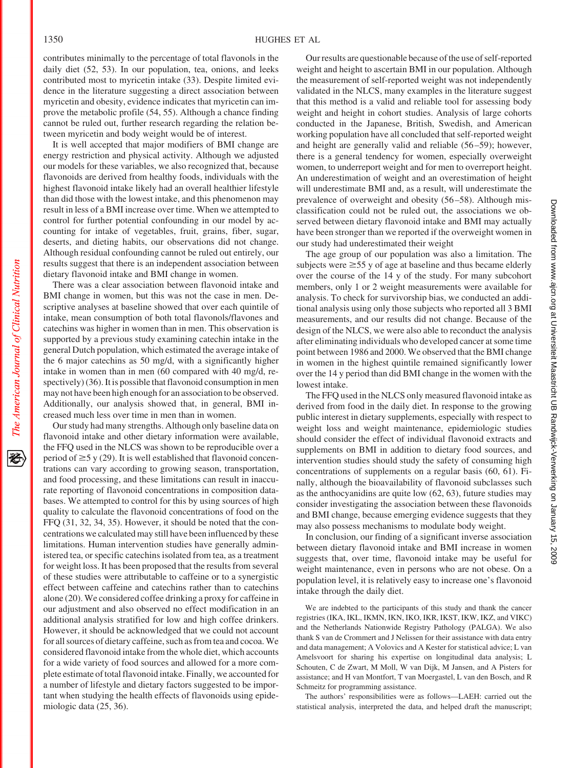contributes minimally to the percentage of total flavonols in the daily diet (52, 53). In our population, tea, onions, and leeks contributed most to myricetin intake (33). Despite limited evidence in the literature suggesting a direct association between myricetin and obesity, evidence indicates that myricetin can improve the metabolic profile (54, 55). Although a chance finding cannot be ruled out, further research regarding the relation between myricetin and body weight would be of interest.

It is well accepted that major modifiers of BMI change are energy restriction and physical activity. Although we adjusted our models for these variables, we also recognized that, because flavonoids are derived from healthy foods, individuals with the highest flavonoid intake likely had an overall healthier lifestyle than did those with the lowest intake, and this phenomenon may result in less of a BMI increase over time. When we attempted to control for further potential confounding in our model by accounting for intake of vegetables, fruit, grains, fiber, sugar, deserts, and dieting habits, our observations did not change. Although residual confounding cannot be ruled out entirely, our results suggest that there is an independent association between dietary flavonoid intake and BMI change in women.

There was a clear association between flavonoid intake and BMI change in women, but this was not the case in men. Descriptive analyses at baseline showed that over each quintile of intake, mean consumption of both total flavonols/flavones and catechins was higher in women than in men. This observation is supported by a previous study examining catechin intake in the general Dutch population, which estimated the average intake of the 6 major catechins as 50 mg/d, with a significantly higher intake in women than in men (60 compared with 40 mg/d, respectively) (36). It is possible that flavonoid consumption in men may not have been high enough for an association to be observed. Additionally, our analysis showed that, in general, BMI increased much less over time in men than in women.

Our study had many strengths. Although only baseline data on flavonoid intake and other dietary information were available, the FFQ used in the NLCS was shown to be reproducible over a period of  $\geq$ 5 y (29). It is well established that flavonoid concentrations can vary according to growing season, transportation, and food processing, and these limitations can result in inaccurate reporting of flavonoid concentrations in composition databases. We attempted to control for this by using sources of high quality to calculate the flavonoid concentrations of food on the FFQ (31, 32, 34, 35). However, it should be noted that the concentrations we calculated may still have been influenced by these limitations. Human intervention studies have generally administered tea, or specific catechins isolated from tea, as a treatment for weight loss. It has been proposed that the results from several of these studies were attributable to caffeine or to a synergistic effect between caffeine and catechins rather than to catechins alone (20). We considered coffee drinking a proxy for caffeine in our adjustment and also observed no effect modification in an additional analysis stratified for low and high coffee drinkers. However, it should be acknowledged that we could not account for all sources of dietary caffeine, such as from tea and cocoa.We considered flavonoid intake from the whole diet, which accounts for a wide variety of food sources and allowed for a more complete estimate of total flavonoid intake. Finally, we accounted for a number of lifestyle and dietary factors suggested to be important when studying the health effects of flavonoids using epidemiologic data (25, 36).

Our results are questionable because of the use of self-reported weight and height to ascertain BMI in our population. Although the measurement of self-reported weight was not independently validated in the NLCS, many examples in the literature suggest that this method is a valid and reliable tool for assessing body weight and height in cohort studies. Analysis of large cohorts conducted in the Japanese, British, Swedish, and American working population have all concluded that self-reported weight and height are generally valid and reliable (56 –59); however, there is a general tendency for women, especially overweight women, to underreport weight and for men to overreport height. An underestimation of weight and an overestimation of height will underestimate BMI and, as a result, will underestimate the prevalence of overweight and obesity (56 –58). Although misclassification could not be ruled out, the associations we observed between dietary flavonoid intake and BMI may actually have been stronger than we reported if the overweight women in our study had underestimated their weight

The age group of our population was also a limitation. The subjects were  $\geq$ 55 y of age at baseline and thus became elderly over the course of the 14 y of the study. For many subcohort members, only 1 or 2 weight measurements were available for analysis. To check for survivorship bias, we conducted an additional analysis using only those subjects who reported all 3 BMI measurements, and our results did not change. Because of the design of the NLCS, we were also able to reconduct the analysis after eliminating individuals who developed cancer at some time point between 1986 and 2000. We observed that the BMI change in women in the highest quintile remained significantly lower over the 14 y period than did BMI change in the women with the lowest intake.

The FFQ used in the NLCS only measured flavonoid intake as derived from food in the daily diet. In response to the growing public interest in dietary supplements, especially with respect to weight loss and weight maintenance, epidemiologic studies should consider the effect of individual flavonoid extracts and supplements on BMI in addition to dietary food sources, and intervention studies should study the safety of consuming high concentrations of supplements on a regular basis (60, 61). Finally, although the bioavailability of flavonoid subclasses such as the anthocyanidins are quite low (62, 63), future studies may consider investigating the association between these flavonoids and BMI change, because emerging evidence suggests that they may also possess mechanisms to modulate body weight.

In conclusion, our finding of a significant inverse association between dietary flavonoid intake and BMI increase in women suggests that, over time, flavonoid intake may be useful for weight maintenance, even in persons who are not obese. On a population level, it is relatively easy to increase one's flavonoid intake through the daily diet.

We are indebted to the participants of this study and thank the cancer registries (IKA, IKL, IKMN, IKN, IKO, IKR, IKST, IKW, IKZ, and VIKC) and the Netherlands Nationwide Registry Pathology (PALGA). We also thank S van de Crommert and J Nelissen for their assistance with data entry and data management; A Volovics and A Kester for statistical advice; L van Amelsvoort for sharing his expertise on longitudinal data analysis; L Schouten, C de Zwart, M Moll, W van Dijk, M Jansen, and A Pisters for assistance; and H van Montfort, T van Moergastel, L van den Bosch, and R Schmeitz for programming assistance.

The authors' responsibilities were as follows—LAEH: carried out the statistical analysis, interpreted the data, and helped draft the manuscript;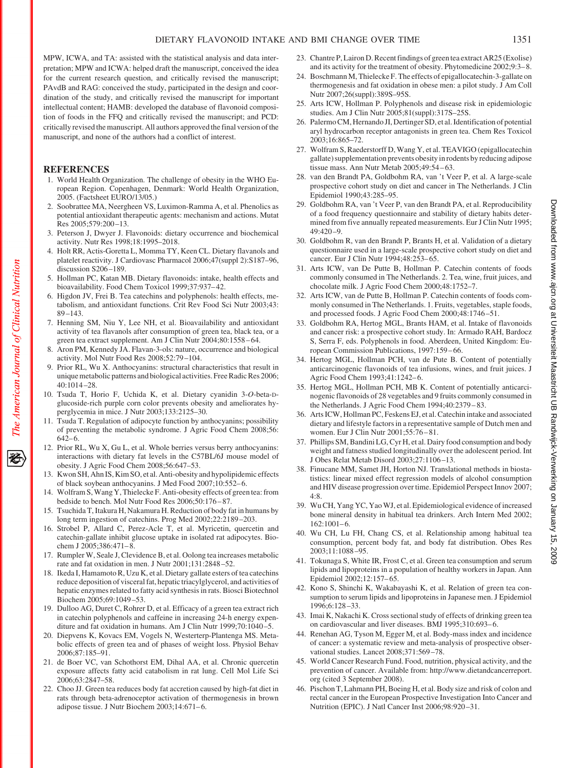MPW, ICWA, and TA: assisted with the statistical analysis and data interpretation; MPW and ICWA: helped draft the manuscript, conceived the idea for the current research question, and critically revised the manuscript; PAvdB and RAG: conceived the study, participated in the design and coordination of the study, and critically revised the manuscript for important intellectual content; HAMB: developed the database of flavonoid composition of foods in the FFQ and critically revised the manuscript; and PCD: critically revised the manuscript. All authors approved the final version of the manuscript, and none of the authors had a conflict of interest.

#### **REFERENCES**

- 1. World Health Organization. The challenge of obesity in the WHO European Region. Copenhagen, Denmark: World Health Organization, 2005. (Factsheet EURO/13/05.)
- 2. Soobrattee MA, Neergheen VS, Luximon-Ramma A, et al. Phenolics as potential antioxidant therapeutic agents: mechanism and actions. Mutat Res 2005;579:200 –13.
- 3. Peterson J, Dwyer J. Flavonoids: dietary occurrence and biochemical activity. Nutr Res 1998;18:1995–2018.
- 4. Holt RR, Actis-Goretta L, Momma TY, Keen CL. Dietary flavanols and platelet reactivity. J Cardiovasc Pharmacol 2006;47(suppl 2):S187–96, discussion S206-189.
- 5. Hollman PC, Katan MB. Dietary flavonoids: intake, health effects and bioavailability. Food Chem Toxicol 1999;37:937– 42.
- Higdon JV, Frei B. Tea catechins and polyphenols: health effects, metabolism, and antioxidant functions. Crit Rev Food Sci Nutr 2003;43: 89 –143.
- 7. Henning SM, Niu Y, Lee NH, et al. Bioavailability and antioxidant activity of tea flavanols after consumption of green tea, black tea, or a green tea extract supplement. Am J Clin Nutr 2004;80:1558 – 64.
- 8. Aron PM, Kennedy JA. Flavan-3-ols: nature, occurrence and biological activity. Mol Nutr Food Res 2008;52:79 –104.
- Prior RL, Wu X. Anthocyanins: structural characteristics that result in unique metabolic patterns and biological activities. Free Radic Res 2006; 40:1014 –28.
- 10. Tsuda T, Horio F, Uchida K, et al. Dietary cyanidin 3-*O*-beta-Dglucoside-rich purple corn color prevents obesity and ameliorates hyperglycemia in mice. J Nutr 2003;133:2125–30.
- 11. Tsuda T. Regulation of adipocyte function by anthocyanins; possibility of preventing the metabolic syndrome. J Agric Food Chem 2008;56:  $642-6.$
- 12. Prior RL, Wu X, Gu L, et al. Whole berries versus berry anthocyanins: interactions with dietary fat levels in the C57BL/6J mouse model of obesity. J Agric Food Chem 2008;56:647–53.
- 13. Kwon SH, Ahn IS, Kim SO, et al. Anti-obesity and hypolipidemic effects of black soybean anthocyanins. J Med Food 2007;10:552– 6.
- 14. Wolfram S,Wang Y, Thielecke F. Anti-obesity effects of green tea: from bedside to bench. Mol Nutr Food Res 2006;50:176 – 87.
- 15. Tsuchida T, Itakura H, Nakamura H. Reduction of body fat in humans by long term ingestion of catechins. Prog Med 2002;22:2189 –203.
- 16. Strobel P, Allard C, Perez-Acle T, et al. Myricetin, quercetin and catechin-gallate inhibit glucose uptake in isolated rat adipocytes. Biochem J 2005:386:471-8.
- 17. Rumpler W, Seale J, Clevidence B, et al. Oolong tea increases metabolic rate and fat oxidation in men. J Nutr 2001;131:2848 –52.
- 18. Ikeda I, Hamamoto R, Uzu K, et al. Dietary gallate esters of tea catechins reduce deposition of visceral fat, hepatic triacylglycerol, and activities of hepatic enzymes related to fatty acid synthesis in rats. Biosci Biotechnol Biochem 2005;69:1049 –53.
- 19. Dulloo AG, Duret C, Rohrer D, et al. Efficacy of a green tea extract rich in catechin polyphenols and caffeine in increasing 24-h energy expenditure and fat oxidation in humans. Am J Clin Nutr 1999;70:1040 –5.
- 20. Diepvens K, Kovacs EM, Vogels N, Westerterp-Plantenga MS. Metabolic effects of green tea and of phases of weight loss. Physiol Behav 2006;87:185–91.
- 21. de Boer VC, van Schothorst EM, Dihal AA, et al. Chronic quercetin exposure affects fatty acid catabolism in rat lung. Cell Mol Life Sci 2006;63:2847–58.
- 22. Choo JJ. Green tea reduces body fat accretion caused by high-fat diet in rats through beta-adrenoceptor activation of thermogenesis in brown adipose tissue. J Nutr Biochem 2003;14:671-6.
- 23. Chantre P, Lairon D. Recent findings of green tea extract AR25 (Exolise) and its activity for the treatment of obesity. Phytomedicine 2002;9:3– 8.
- 24. Boschmann M, Thielecke F. The effects of epigallocatechin-3-gallate on thermogenesis and fat oxidation in obese men: a pilot study. J Am Coll Nutr 2007;26(suppl):389S–95S.
- 25. Arts ICW, Hollman P. Polyphenols and disease risk in epidemiologic studies. Am J Clin Nutr 2005;81(suppl):317S–25S.
- 26. Palermo CM, Hernando JI, Dertinger SD, et al. Identification of potential aryl hydrocarbon receptor antagonists in green tea. Chem Res Toxicol 2003;16:865–72.
- 27. Wolfram S, Raederstorff D, Wang Y, et al. TEAVIGO (epigallocatechin gallate) supplementation prevents obesityin rodents by reducing adipose tissue mass. Ann Nutr Metab 2005;49:54 – 63.
- 28. van den Brandt PA, Goldbohm RA, van 't Veer P, et al. A large-scale prospective cohort study on diet and cancer in The Netherlands. J Clin Epidemiol 1990;43:285–95.
- 29. Goldbohm RA, van 't Veer P, van den Brandt PA, et al. Reproducibility of a food frequency questionnaire and stability of dietary habits determined from five annually repeated measurements. Eur J Clin Nutr 1995;  $49:420 - 9$ .
- 30. Goldbohm R, van den Brandt P, Brants H, et al. Validation of a dietary questionnaire used in a large-scale prospective cohort study on diet and cancer. Eur J Clin Nutr 1994;48:253– 65.
- 31. Arts ICW, van De Putte B, Hollman P. Catechin contents of foods commonly consumed in The Netherlands. 2. Tea, wine, fruit juices, and chocolate milk. J Agric Food Chem 2000;48:1752–7.
- 32. Arts ICW, van de Putte B, Hollman P. Catechin contents of foods commonly consumed in The Netherlands. 1. Fruits, vegetables, staple foods, and processed foods. J Agric Food Chem 2000;48:1746 –51.
- 33. Goldbohm RA, Hertog MGL, Brants HAM, et al. Intake of flavonoids and cancer risk: a prospective cohort study. In: Armado RAH, Bardocz S, Serra F, eds. Polyphenols in food. Aberdeen, United Kingdom: European Commission Publications, 1997:159 – 66.
- 34. Hertog MGL, Hollman PCH, van de Pute B. Content of potentially anticarcinogenic flavonoids of tea infusions, wines, and fruit juices. J Agric Food Chem 1993;41:1242-6.
- 35. Hertog MGL, Hollman PCH, MB K. Content of potentially anticarcinogenic flavonoids of 28 vegetables and 9 fruits commonly consumed in the Netherlands. J Agric Food Chem 1994;40:2379 – 83.
- 36. Arts ICW, Hollman PC, Feskens EJ, et al. Catechin intake and associated dietary and lifestyle factors in a representative sample of Dutch men and women. Eur J Clin Nutr 2001;55:76 – 81.
- 37. Phillips SM, Bandini LG, Cyr H, et al. Dairy food consumption and body weight and fatness studied longitudinally over the adolescent period. Int J Obes Relat Metab Disord 2003;27:1106 –13.
- 38. Finucane MM, Samet JH, Horton NJ. Translational methods in biostatistics: linear mixed effect regression models of alcohol consumption and HIV disease progression over time. Epidemiol Perspect Innov 2007; 4:8.
- 39. Wu CH, Yang YC, YaoWJ, et al. Epidemiological evidence of increased bone mineral density in habitual tea drinkers. Arch Intern Med 2002;  $162:1001-6.$
- 40. Wu CH, Lu FH, Chang CS, et al. Relationship among habitual tea consumption, percent body fat, and body fat distribution. Obes Res 2003;11:1088 –95.
- 41. Tokunaga S, White IR, Frost C, et al. Green tea consumption and serum lipids and lipoproteins in a population of healthy workers in Japan. Ann Epidemiol 2002;12:157– 65.
- 42. Kono S, Shinchi K, Wakabayashi K, et al. Relation of green tea consumption to serum lipids and lipoproteins in Japanese men. J Epidemiol 1996;6:128 –33.
- 43. Imai K, Nakachi K. Cross sectional study of effects of drinking green tea on cardiovascular and liver diseases. BMJ 1995;310:693-6.
- 44. Renehan AG, Tyson M, Egger M, et al. Body-mass index and incidence of cancer: a systematic review and meta-analysis of prospective observational studies. Lancet 2008;371:569 –78.
- 45. World Cancer Research Fund. Food, nutrition, physical activity, and the prevention of cancer. Available from: http://www.dietandcancerreport. org (cited 3 September 2008).
- 46. Pischon T, Lahmann PH, Boeing H, et al. Body size and risk of colon and rectal cancer in the European Prospective Investigation Into Cancer and Nutrition (EPIC). J Natl Cancer Inst 2006;98:920 –31.